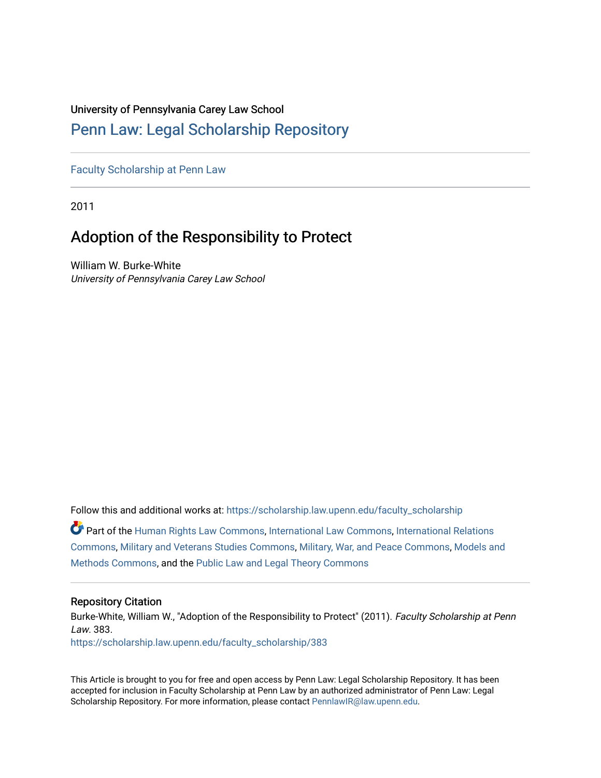#### University of Pennsylvania Carey Law School

## [Penn Law: Legal Scholarship Repository](https://scholarship.law.upenn.edu/)

[Faculty Scholarship at Penn Law](https://scholarship.law.upenn.edu/faculty_scholarship)

2011

## Adoption of the Responsibility to Protect

William W. Burke-White University of Pennsylvania Carey Law School

Follow this and additional works at: [https://scholarship.law.upenn.edu/faculty\\_scholarship](https://scholarship.law.upenn.edu/faculty_scholarship?utm_source=scholarship.law.upenn.edu%2Ffaculty_scholarship%2F383&utm_medium=PDF&utm_campaign=PDFCoverPages)   $\bullet$  Part of the [Human Rights Law Commons,](http://network.bepress.com/hgg/discipline/847?utm_source=scholarship.law.upenn.edu%2Ffaculty_scholarship%2F383&utm_medium=PDF&utm_campaign=PDFCoverPages) [International Law Commons](http://network.bepress.com/hgg/discipline/609?utm_source=scholarship.law.upenn.edu%2Ffaculty_scholarship%2F383&utm_medium=PDF&utm_campaign=PDFCoverPages), International Relations [Commons](http://network.bepress.com/hgg/discipline/389?utm_source=scholarship.law.upenn.edu%2Ffaculty_scholarship%2F383&utm_medium=PDF&utm_campaign=PDFCoverPages), [Military and Veterans Studies Commons,](http://network.bepress.com/hgg/discipline/396?utm_source=scholarship.law.upenn.edu%2Ffaculty_scholarship%2F383&utm_medium=PDF&utm_campaign=PDFCoverPages) [Military, War, and Peace Commons](http://network.bepress.com/hgg/discipline/861?utm_source=scholarship.law.upenn.edu%2Ffaculty_scholarship%2F383&utm_medium=PDF&utm_campaign=PDFCoverPages), [Models and](http://network.bepress.com/hgg/discipline/390?utm_source=scholarship.law.upenn.edu%2Ffaculty_scholarship%2F383&utm_medium=PDF&utm_campaign=PDFCoverPages)  [Methods Commons,](http://network.bepress.com/hgg/discipline/390?utm_source=scholarship.law.upenn.edu%2Ffaculty_scholarship%2F383&utm_medium=PDF&utm_campaign=PDFCoverPages) and the [Public Law and Legal Theory Commons](http://network.bepress.com/hgg/discipline/871?utm_source=scholarship.law.upenn.edu%2Ffaculty_scholarship%2F383&utm_medium=PDF&utm_campaign=PDFCoverPages) 

#### Repository Citation

Burke-White, William W., "Adoption of the Responsibility to Protect" (2011). Faculty Scholarship at Penn Law. 383. [https://scholarship.law.upenn.edu/faculty\\_scholarship/383](https://scholarship.law.upenn.edu/faculty_scholarship/383?utm_source=scholarship.law.upenn.edu%2Ffaculty_scholarship%2F383&utm_medium=PDF&utm_campaign=PDFCoverPages) 

This Article is brought to you for free and open access by Penn Law: Legal Scholarship Repository. It has been accepted for inclusion in Faculty Scholarship at Penn Law by an authorized administrator of Penn Law: Legal Scholarship Repository. For more information, please contact [PennlawIR@law.upenn.edu.](mailto:PennlawIR@law.upenn.edu)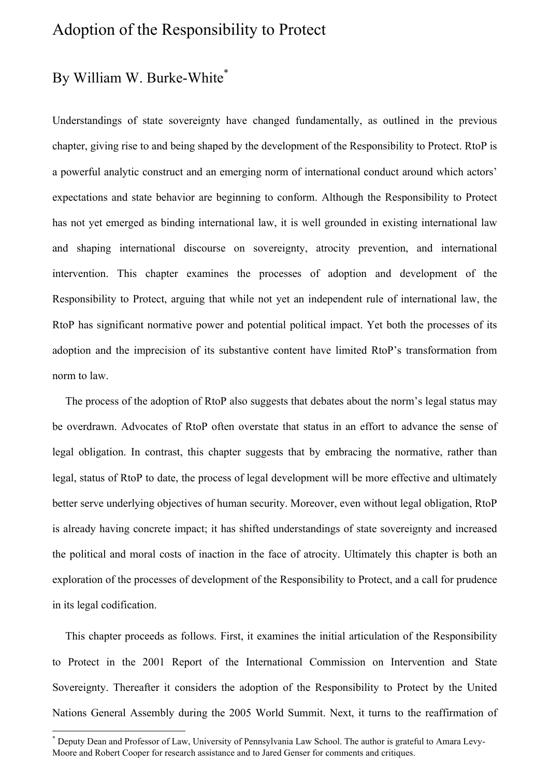## Adoption of the Responsibility to Protect

## By William W. Burke-White\*

Understandings of state sovereignty have changed fundamentally, as outlined in the previous chapter, giving rise to and being shaped by the development of the Responsibility to Protect. RtoP is a powerful analytic construct and an emerging norm of international conduct around which actors' expectations and state behavior are beginning to conform. Although the Responsibility to Protect has not yet emerged as binding international law, it is well grounded in existing international law and shaping international discourse on sovereignty, atrocity prevention, and international intervention. This chapter examines the processes of adoption and development of the Responsibility to Protect, arguing that while not yet an independent rule of international law, the RtoP has significant normative power and potential political impact. Yet both the processes of its adoption and the imprecision of its substantive content have limited RtoP's transformation from norm to law.

The process of the adoption of RtoP also suggests that debates about the norm's legal status may be overdrawn. Advocates of RtoP often overstate that status in an effort to advance the sense of legal obligation. In contrast, this chapter suggests that by embracing the normative, rather than legal, status of RtoP to date, the process of legal development will be more effective and ultimately better serve underlying objectives of human security. Moreover, even without legal obligation, RtoP is already having concrete impact; it has shifted understandings of state sovereignty and increased the political and moral costs of inaction in the face of atrocity. Ultimately this chapter is both an exploration of the processes of development of the Responsibility to Protect, and a call for prudence in its legal codification.

This chapter proceeds as follows. First, it examines the initial articulation of the Responsibility to Protect in the 2001 Report of the International Commission on Intervention and State Sovereignty. Thereafter it considers the adoption of the Responsibility to Protect by the United Nations General Assembly during the 2005 World Summit. Next, it turns to the reaffirmation of

 <sup>\*</sup> Deputy Dean and Professor of Law, University of Pennsylvania Law School. The author is grateful to Amara Levy-Moore and Robert Cooper for research assistance and to Jared Genser for comments and critiques.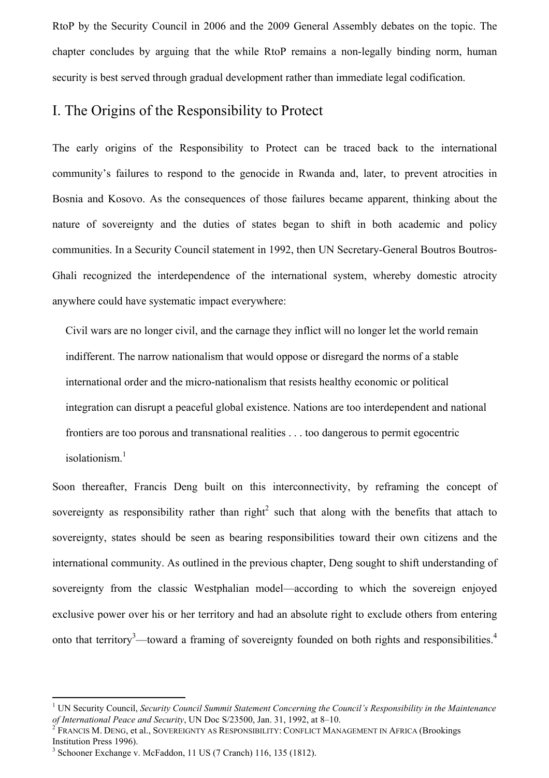RtoP by the Security Council in 2006 and the 2009 General Assembly debates on the topic. The chapter concludes by arguing that the while RtoP remains a non-legally binding norm, human security is best served through gradual development rather than immediate legal codification.

## I. The Origins of the Responsibility to Protect

The early origins of the Responsibility to Protect can be traced back to the international community's failures to respond to the genocide in Rwanda and, later, to prevent atrocities in Bosnia and Kosovo. As the consequences of those failures became apparent, thinking about the nature of sovereignty and the duties of states began to shift in both academic and policy communities. In a Security Council statement in 1992, then UN Secretary-General Boutros Boutros-Ghali recognized the interdependence of the international system, whereby domestic atrocity anywhere could have systematic impact everywhere:

Civil wars are no longer civil, and the carnage they inflict will no longer let the world remain indifferent. The narrow nationalism that would oppose or disregard the norms of a stable international order and the micro-nationalism that resists healthy economic or political integration can disrupt a peaceful global existence. Nations are too interdependent and national frontiers are too porous and transnational realities . . . too dangerous to permit egocentric isolationism.<sup>1</sup>

Soon thereafter, Francis Deng built on this interconnectivity, by reframing the concept of sovereignty as responsibility rather than right<sup>2</sup> such that along with the benefits that attach to sovereignty, states should be seen as bearing responsibilities toward their own citizens and the international community. As outlined in the previous chapter, Deng sought to shift understanding of sovereignty from the classic Westphalian model—according to which the sovereign enjoyed exclusive power over his or her territory and had an absolute right to exclude others from entering onto that territory<sup>3</sup>—toward a framing of sovereignty founded on both rights and responsibilities.<sup>4</sup>

 $\frac{1}{1}$  UN Security Council, *Security Council Summit Statement Concerning the Council's Responsibility in the Maintenance of International Peace and Security*, UN Doc S/23500, Jan. 31, 1992, at 8–10.

<sup>&</sup>lt;sup>2</sup> FRANCIS M. DENG, et al., SOVEREIGNTY AS RESPONSIBILITY: CONFLICT MANAGEMENT IN AFRICA (Brookings Institution Press 1996).

<sup>3</sup> Schooner Exchange v. McFaddon, 11 US (7 Cranch) 116, 135 (1812).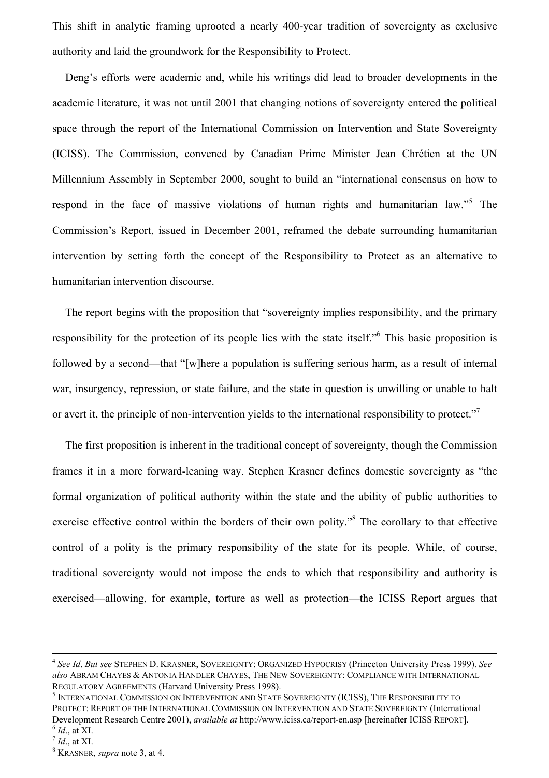This shift in analytic framing uprooted a nearly 400-year tradition of sovereignty as exclusive authority and laid the groundwork for the Responsibility to Protect.

Deng's efforts were academic and, while his writings did lead to broader developments in the academic literature, it was not until 2001 that changing notions of sovereignty entered the political space through the report of the International Commission on Intervention and State Sovereignty (ICISS). The Commission, convened by Canadian Prime Minister Jean Chrétien at the UN Millennium Assembly in September 2000, sought to build an "international consensus on how to respond in the face of massive violations of human rights and humanitarian law."<sup>5</sup> The Commission's Report, issued in December 2001, reframed the debate surrounding humanitarian intervention by setting forth the concept of the Responsibility to Protect as an alternative to humanitarian intervention discourse.

The report begins with the proposition that "sovereignty implies responsibility, and the primary responsibility for the protection of its people lies with the state itself."<sup>6</sup> This basic proposition is followed by a second—that "[w]here a population is suffering serious harm, as a result of internal war, insurgency, repression, or state failure, and the state in question is unwilling or unable to halt or avert it, the principle of non-intervention yields to the international responsibility to protect."

The first proposition is inherent in the traditional concept of sovereignty, though the Commission frames it in a more forward-leaning way. Stephen Krasner defines domestic sovereignty as "the formal organization of political authority within the state and the ability of public authorities to exercise effective control within the borders of their own polity."<sup>8</sup> The corollary to that effective control of a polity is the primary responsibility of the state for its people. While, of course, traditional sovereignty would not impose the ends to which that responsibility and authority is exercised—allowing, for example, torture as well as protection—the ICISS Report argues that

 <sup>4</sup> *See Id*. *But see* STEPHEN D. KRASNER, SOVEREIGNTY: ORGANIZED HYPOCRISY (Princeton University Press 1999). *See also* ABRAM CHAYES & ANTONIA HANDLER CHAYES, THE NEW SOVEREIGNTY: COMPLIANCE WITH INTERNATIONAL REGULATORY AGREEMENTS (Harvard University Press 1998).

<sup>5</sup> INTERNATIONAL COMMISSION ON INTERVENTION AND STATE SOVEREIGNTY (ICISS), THE RESPONSIBILITY TO PROTECT: REPORT OF THE INTERNATIONAL COMMISSION ON INTERVENTION AND STATE SOVEREIGNTY (International Development Research Centre 2001), *available at* http://www.iciss.ca/report-en.asp [hereinafter ICISS REPORT]. <sup>6</sup> *Id*., at XI.

<sup>7</sup> *Id*., at XI.

<sup>8</sup> KRASNER, *supra* note 3, at 4.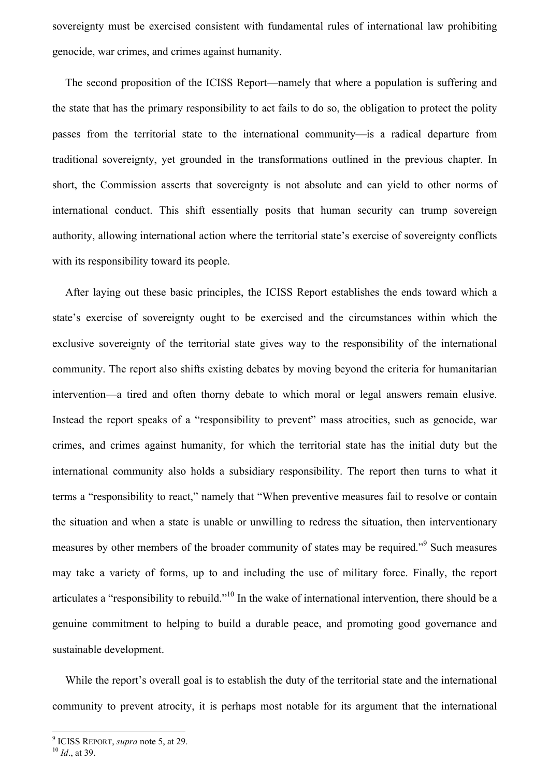sovereignty must be exercised consistent with fundamental rules of international law prohibiting genocide, war crimes, and crimes against humanity.

The second proposition of the ICISS Report—namely that where a population is suffering and the state that has the primary responsibility to act fails to do so, the obligation to protect the polity passes from the territorial state to the international community—is a radical departure from traditional sovereignty, yet grounded in the transformations outlined in the previous chapter. In short, the Commission asserts that sovereignty is not absolute and can yield to other norms of international conduct. This shift essentially posits that human security can trump sovereign authority, allowing international action where the territorial state's exercise of sovereignty conflicts with its responsibility toward its people.

After laying out these basic principles, the ICISS Report establishes the ends toward which a state's exercise of sovereignty ought to be exercised and the circumstances within which the exclusive sovereignty of the territorial state gives way to the responsibility of the international community. The report also shifts existing debates by moving beyond the criteria for humanitarian intervention—a tired and often thorny debate to which moral or legal answers remain elusive. Instead the report speaks of a "responsibility to prevent" mass atrocities, such as genocide, war crimes, and crimes against humanity, for which the territorial state has the initial duty but the international community also holds a subsidiary responsibility. The report then turns to what it terms a "responsibility to react," namely that "When preventive measures fail to resolve or contain the situation and when a state is unable or unwilling to redress the situation, then interventionary measures by other members of the broader community of states may be required."<sup>9</sup> Such measures may take a variety of forms, up to and including the use of military force. Finally, the report articulates a "responsibility to rebuild."10 In the wake of international intervention, there should be a genuine commitment to helping to build a durable peace, and promoting good governance and sustainable development.

While the report's overall goal is to establish the duty of the territorial state and the international community to prevent atrocity, it is perhaps most notable for its argument that the international

<sup>-&</sup>lt;br>9 ICISS REPORT, *supra* note 5, at 29.

<sup>10</sup> *Id*., at 39.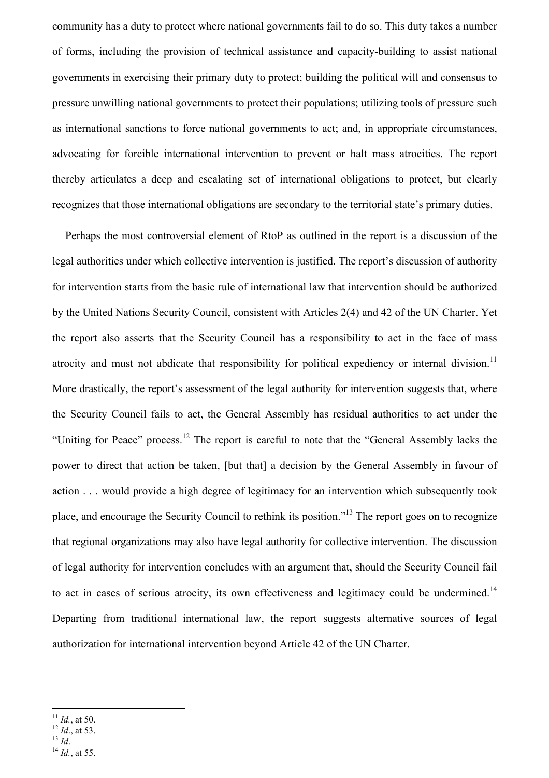community has a duty to protect where national governments fail to do so. This duty takes a number of forms, including the provision of technical assistance and capacity-building to assist national governments in exercising their primary duty to protect; building the political will and consensus to pressure unwilling national governments to protect their populations; utilizing tools of pressure such as international sanctions to force national governments to act; and, in appropriate circumstances, advocating for forcible international intervention to prevent or halt mass atrocities. The report thereby articulates a deep and escalating set of international obligations to protect, but clearly recognizes that those international obligations are secondary to the territorial state's primary duties.

Perhaps the most controversial element of RtoP as outlined in the report is a discussion of the legal authorities under which collective intervention is justified. The report's discussion of authority for intervention starts from the basic rule of international law that intervention should be authorized by the United Nations Security Council, consistent with Articles 2(4) and 42 of the UN Charter. Yet the report also asserts that the Security Council has a responsibility to act in the face of mass atrocity and must not abdicate that responsibility for political expediency or internal division.<sup>11</sup> More drastically, the report's assessment of the legal authority for intervention suggests that, where the Security Council fails to act, the General Assembly has residual authorities to act under the "Uniting for Peace" process.12 The report is careful to note that the "General Assembly lacks the power to direct that action be taken, [but that] a decision by the General Assembly in favour of action . . . would provide a high degree of legitimacy for an intervention which subsequently took place, and encourage the Security Council to rethink its position."13 The report goes on to recognize that regional organizations may also have legal authority for collective intervention. The discussion of legal authority for intervention concludes with an argument that, should the Security Council fail to act in cases of serious atrocity, its own effectiveness and legitimacy could be undermined.<sup>14</sup> Departing from traditional international law, the report suggests alternative sources of legal authorization for international intervention beyond Article 42 of the UN Charter.

 $\frac{11}{11}$ *Id.*, at 50.

 $^{12}$  *Id.*, at 53.

<sup>13</sup> *Id*. <sup>14</sup> *Id.*, at 55.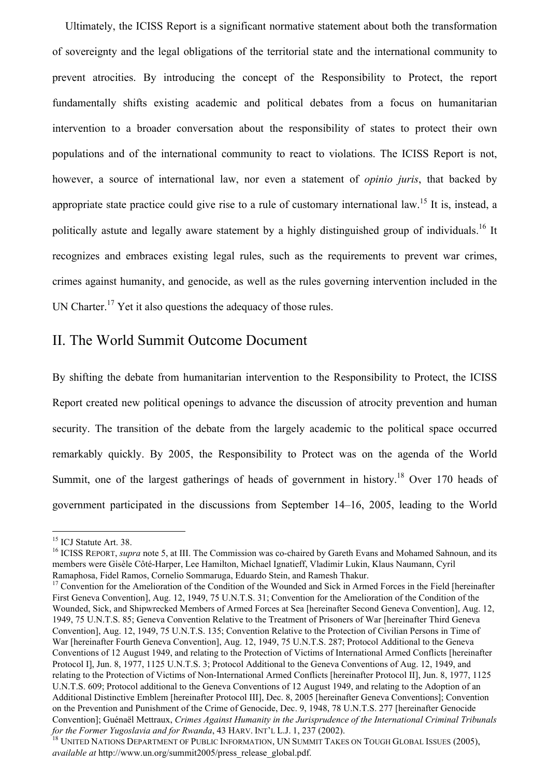Ultimately, the ICISS Report is a significant normative statement about both the transformation of sovereignty and the legal obligations of the territorial state and the international community to prevent atrocities. By introducing the concept of the Responsibility to Protect, the report fundamentally shifts existing academic and political debates from a focus on humanitarian intervention to a broader conversation about the responsibility of states to protect their own populations and of the international community to react to violations. The ICISS Report is not, however, a source of international law, nor even a statement of *opinio juris*, that backed by appropriate state practice could give rise to a rule of customary international law.<sup>15</sup> It is, instead, a politically astute and legally aware statement by a highly distinguished group of individuals.<sup>16</sup> It recognizes and embraces existing legal rules, such as the requirements to prevent war crimes, crimes against humanity, and genocide, as well as the rules governing intervention included in the UN Charter.<sup>17</sup> Yet it also questions the adequacy of those rules.

## II. The World Summit Outcome Document

By shifting the debate from humanitarian intervention to the Responsibility to Protect, the ICISS Report created new political openings to advance the discussion of atrocity prevention and human security. The transition of the debate from the largely academic to the political space occurred remarkably quickly. By 2005, the Responsibility to Protect was on the agenda of the World Summit, one of the largest gatherings of heads of government in history.<sup>18</sup> Over 170 heads of government participated in the discussions from September 14–16, 2005, leading to the World

<sup>&</sup>lt;sup>15</sup> ICJ Statute Art. 38.

<sup>&</sup>lt;sup>16</sup> ICISS REPORT, *supra* note 5, at III. The Commission was co-chaired by Gareth Evans and Mohamed Sahnoun, and its members were Gisèle Côté-Harper, Lee Hamilton, Michael Ignatieff, Vladimir Lukin, Klaus Naumann, Cyril Ramaphosa, Fidel Ramos, Cornelio Sommaruga, Eduardo Stein, and Ramesh Thakur.

<sup>&</sup>lt;sup>17</sup> Convention for the Amelioration of the Condition of the Wounded and Sick in Armed Forces in the Field [hereinafter First Geneva Convention], Aug. 12, 1949, 75 U.N.T.S. 31; Convention for the Amelioration of the Condition of the Wounded, Sick, and Shipwrecked Members of Armed Forces at Sea [hereinafter Second Geneva Convention], Aug. 12, 1949, 75 U.N.T.S. 85; Geneva Convention Relative to the Treatment of Prisoners of War [hereinafter Third Geneva Convention], Aug. 12, 1949, 75 U.N.T.S. 135; Convention Relative to the Protection of Civilian Persons in Time of War [hereinafter Fourth Geneva Convention], Aug. 12, 1949, 75 U.N.T.S. 287; Protocol Additional to the Geneva Conventions of 12 August 1949, and relating to the Protection of Victims of International Armed Conflicts [hereinafter Protocol I], Jun. 8, 1977, 1125 U.N.T.S. 3; Protocol Additional to the Geneva Conventions of Aug. 12, 1949, and relating to the Protection of Victims of Non-International Armed Conflicts [hereinafter Protocol II], Jun. 8, 1977, 1125 U.N.T.S. 609; Protocol additional to the Geneva Conventions of 12 August 1949, and relating to the Adoption of an Additional Distinctive Emblem [hereinafter Protocol III], Dec. 8, 2005 [hereinafter Geneva Conventions]; Convention on the Prevention and Punishment of the Crime of Genocide, Dec. 9, 1948, 78 U.N.T.S. 277 [hereinafter Genocide Convention]; Guénaël Mettraux, *Crimes Against Humanity in the Jurisprudence of the International Criminal Tribunals for the Former Yugoslavia and for Rwanda*, 43 HARV. INT'L L.J. 1, 237 (2002).

 $\frac{18}{18}$  UNITED NATIONS DEPARTMENT OF PUBLIC INFORMATION, UN SUMMIT TAKES ON TOUGH GLOBAL ISSUES (2005), *available at* http://www.un.org/summit2005/press\_release\_global.pdf.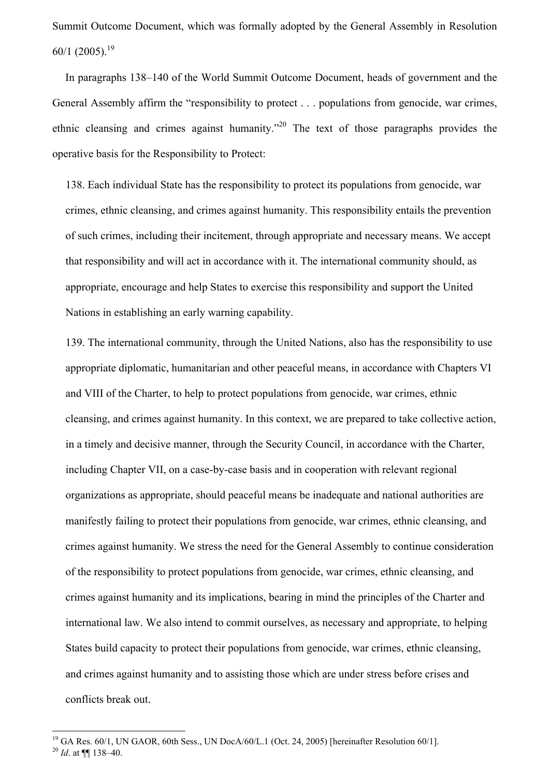Summit Outcome Document, which was formally adopted by the General Assembly in Resolution  $60/1$  (2005).<sup>19</sup>

In paragraphs 138–140 of the World Summit Outcome Document, heads of government and the General Assembly affirm the "responsibility to protect . . . populations from genocide, war crimes, ethnic cleansing and crimes against humanity."20 The text of those paragraphs provides the operative basis for the Responsibility to Protect:

138. Each individual State has the responsibility to protect its populations from genocide, war crimes, ethnic cleansing, and crimes against humanity. This responsibility entails the prevention of such crimes, including their incitement, through appropriate and necessary means. We accept that responsibility and will act in accordance with it. The international community should, as appropriate, encourage and help States to exercise this responsibility and support the United Nations in establishing an early warning capability.

139. The international community, through the United Nations, also has the responsibility to use appropriate diplomatic, humanitarian and other peaceful means, in accordance with Chapters VI and VIII of the Charter, to help to protect populations from genocide, war crimes, ethnic cleansing, and crimes against humanity. In this context, we are prepared to take collective action, in a timely and decisive manner, through the Security Council, in accordance with the Charter, including Chapter VII, on a case-by-case basis and in cooperation with relevant regional organizations as appropriate, should peaceful means be inadequate and national authorities are manifestly failing to protect their populations from genocide, war crimes, ethnic cleansing, and crimes against humanity. We stress the need for the General Assembly to continue consideration of the responsibility to protect populations from genocide, war crimes, ethnic cleansing, and crimes against humanity and its implications, bearing in mind the principles of the Charter and international law. We also intend to commit ourselves, as necessary and appropriate, to helping States build capacity to protect their populations from genocide, war crimes, ethnic cleansing, and crimes against humanity and to assisting those which are under stress before crises and conflicts break out.

<sup>&</sup>lt;sup>19</sup> GA Res. 60/1, UN GAOR, 60th Sess., UN DocA/60/L.1 (Oct. 24, 2005) [hereinafter Resolution 60/1]. <sup>20</sup> *Id*. at ¶¶ 138–40.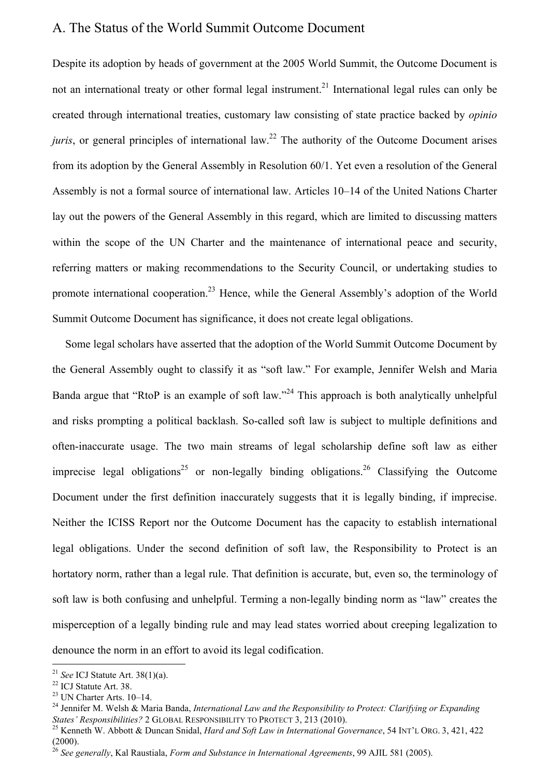#### A. The Status of the World Summit Outcome Document

Despite its adoption by heads of government at the 2005 World Summit, the Outcome Document is not an international treaty or other formal legal instrument.<sup>21</sup> International legal rules can only be created through international treaties, customary law consisting of state practice backed by *opinio juris*, or general principles of international law.<sup>22</sup> The authority of the Outcome Document arises from its adoption by the General Assembly in Resolution 60/1. Yet even a resolution of the General Assembly is not a formal source of international law. Articles 10–14 of the United Nations Charter lay out the powers of the General Assembly in this regard, which are limited to discussing matters within the scope of the UN Charter and the maintenance of international peace and security, referring matters or making recommendations to the Security Council, or undertaking studies to promote international cooperation.<sup>23</sup> Hence, while the General Assembly's adoption of the World Summit Outcome Document has significance, it does not create legal obligations.

Some legal scholars have asserted that the adoption of the World Summit Outcome Document by the General Assembly ought to classify it as "soft law." For example, Jennifer Welsh and Maria Banda argue that "RtoP is an example of soft law."<sup>24</sup> This approach is both analytically unhelpful and risks prompting a political backlash. So-called soft law is subject to multiple definitions and often-inaccurate usage. The two main streams of legal scholarship define soft law as either imprecise legal obligations<sup>25</sup> or non-legally binding obligations.<sup>26</sup> Classifying the Outcome Document under the first definition inaccurately suggests that it is legally binding, if imprecise. Neither the ICISS Report nor the Outcome Document has the capacity to establish international legal obligations. Under the second definition of soft law, the Responsibility to Protect is an hortatory norm, rather than a legal rule. That definition is accurate, but, even so, the terminology of soft law is both confusing and unhelpful. Terming a non-legally binding norm as "law" creates the misperception of a legally binding rule and may lead states worried about creeping legalization to denounce the norm in an effort to avoid its legal codification.

 <sup>21</sup> *See* ICJ Statute Art. 38(1)(a).

<sup>22</sup> ICJ Statute Art. 38.

<sup>23</sup> UN Charter Arts. 10–14.

<sup>24</sup> Jennifer M. Welsh & Maria Banda, *International Law and the Responsibility to Protect: Clarifying or Expanding States' Responsibilities?* 2 GLOBAL RESPONSIBILITY TO PROTECT 3, 213 (2010).

<sup>25</sup> Kenneth W. Abbott & Duncan Snidal, *Hard and Soft Law in International Governance*, 54 INT'L ORG. 3, 421, 422 (2000).

<sup>26</sup> *See generally*, Kal Raustiala, *Form and Substance in International Agreements*, 99 AJIL 581 (2005).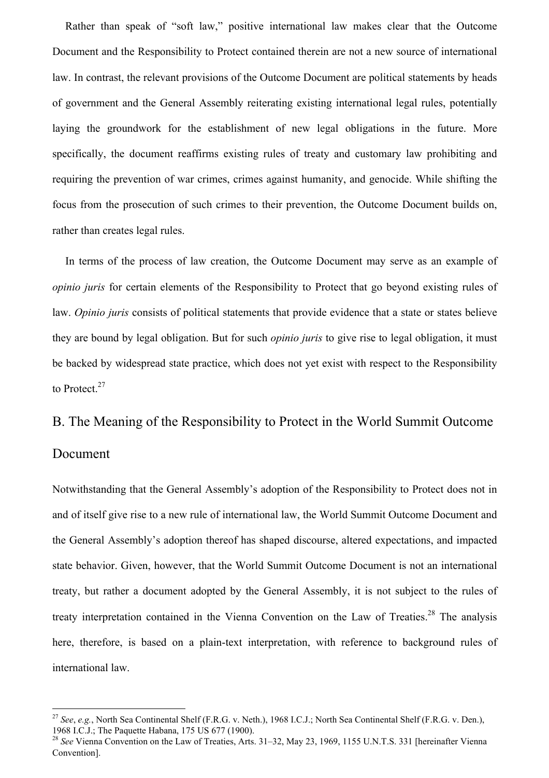Rather than speak of "soft law," positive international law makes clear that the Outcome Document and the Responsibility to Protect contained therein are not a new source of international law. In contrast, the relevant provisions of the Outcome Document are political statements by heads of government and the General Assembly reiterating existing international legal rules, potentially laying the groundwork for the establishment of new legal obligations in the future. More specifically, the document reaffirms existing rules of treaty and customary law prohibiting and requiring the prevention of war crimes, crimes against humanity, and genocide. While shifting the focus from the prosecution of such crimes to their prevention, the Outcome Document builds on, rather than creates legal rules.

In terms of the process of law creation, the Outcome Document may serve as an example of *opinio juris* for certain elements of the Responsibility to Protect that go beyond existing rules of law. *Opinio juris* consists of political statements that provide evidence that a state or states believe they are bound by legal obligation. But for such *opinio juris* to give rise to legal obligation, it must be backed by widespread state practice, which does not yet exist with respect to the Responsibility to Protect.<sup>27</sup>

# B. The Meaning of the Responsibility to Protect in the World Summit Outcome Document

Notwithstanding that the General Assembly's adoption of the Responsibility to Protect does not in and of itself give rise to a new rule of international law, the World Summit Outcome Document and the General Assembly's adoption thereof has shaped discourse, altered expectations, and impacted state behavior. Given, however, that the World Summit Outcome Document is not an international treaty, but rather a document adopted by the General Assembly, it is not subject to the rules of treaty interpretation contained in the Vienna Convention on the Law of Treaties.<sup>28</sup> The analysis here, therefore, is based on a plain-text interpretation, with reference to background rules of international law.

 <sup>27</sup> *See*, *e.g.*, North Sea Continental Shelf (F.R.G. v. Neth.), 1968 I.C.J.; North Sea Continental Shelf (F.R.G. v. Den.), 1968 I.C.J.; The Paquette Habana, 175 US 677 (1900).

<sup>&</sup>lt;sup>28</sup> See Vienna Convention on the Law of Treaties, Arts. 31–32, May 23, 1969, 1155 U.N.T.S. 331 [hereinafter Vienna Convention].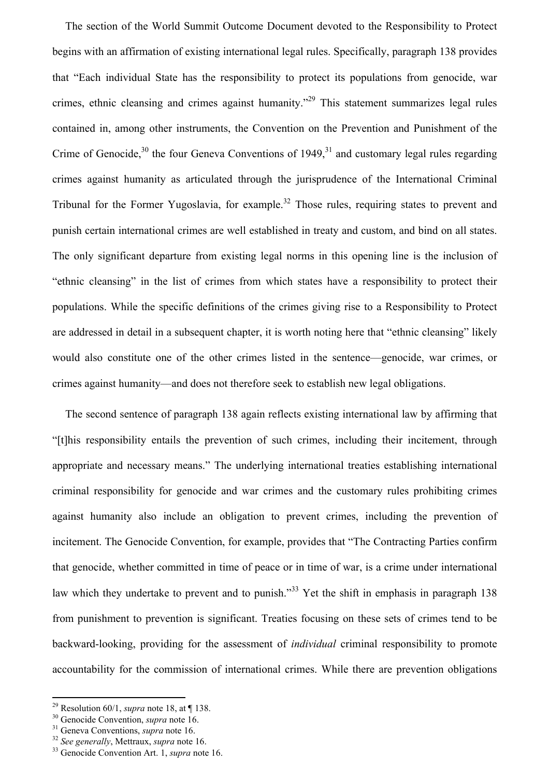The section of the World Summit Outcome Document devoted to the Responsibility to Protect begins with an affirmation of existing international legal rules. Specifically, paragraph 138 provides that "Each individual State has the responsibility to protect its populations from genocide, war crimes, ethnic cleansing and crimes against humanity."29 This statement summarizes legal rules contained in, among other instruments, the Convention on the Prevention and Punishment of the Crime of Genocide.<sup>30</sup> the four Geneva Conventions of  $1949$ ,<sup>31</sup> and customary legal rules regarding crimes against humanity as articulated through the jurisprudence of the International Criminal Tribunal for the Former Yugoslavia, for example.<sup>32</sup> Those rules, requiring states to prevent and punish certain international crimes are well established in treaty and custom, and bind on all states. The only significant departure from existing legal norms in this opening line is the inclusion of "ethnic cleansing" in the list of crimes from which states have a responsibility to protect their populations. While the specific definitions of the crimes giving rise to a Responsibility to Protect are addressed in detail in a subsequent chapter, it is worth noting here that "ethnic cleansing" likely would also constitute one of the other crimes listed in the sentence—genocide, war crimes, or crimes against humanity—and does not therefore seek to establish new legal obligations.

The second sentence of paragraph 138 again reflects existing international law by affirming that "[t]his responsibility entails the prevention of such crimes, including their incitement, through appropriate and necessary means." The underlying international treaties establishing international criminal responsibility for genocide and war crimes and the customary rules prohibiting crimes against humanity also include an obligation to prevent crimes, including the prevention of incitement. The Genocide Convention, for example, provides that "The Contracting Parties confirm that genocide, whether committed in time of peace or in time of war, is a crime under international law which they undertake to prevent and to punish.<sup>33</sup> Yet the shift in emphasis in paragraph 138 from punishment to prevention is significant. Treaties focusing on these sets of crimes tend to be backward-looking, providing for the assessment of *individual* criminal responsibility to promote accountability for the commission of international crimes. While there are prevention obligations

 <sup>29</sup> Resolution 60/1, *supra* note 18, at ¶ 138.

<sup>30</sup> Genocide Convention, *supra* note 16.

<sup>31</sup> Geneva Conventions, *supra* note 16.

<sup>32</sup> *See generally*, Mettraux, *supra* note 16.

<sup>33</sup> Genocide Convention Art. 1, *supra* note 16.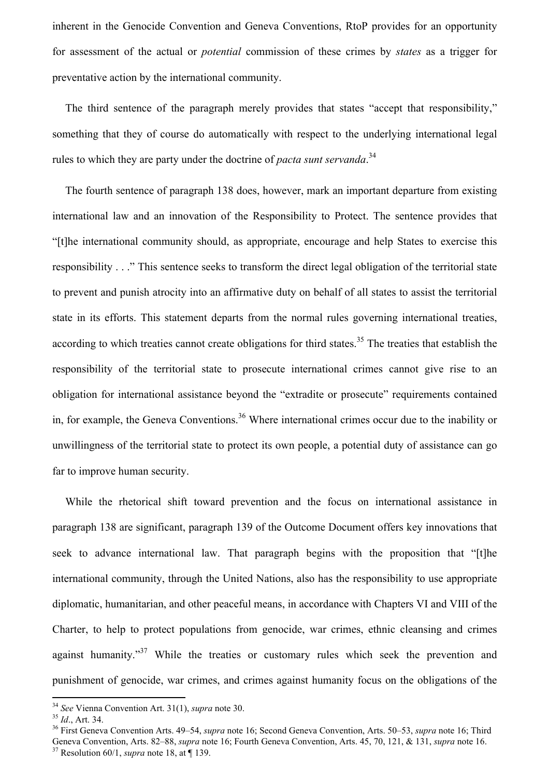inherent in the Genocide Convention and Geneva Conventions, RtoP provides for an opportunity for assessment of the actual or *potential* commission of these crimes by *states* as a trigger for preventative action by the international community.

The third sentence of the paragraph merely provides that states "accept that responsibility," something that they of course do automatically with respect to the underlying international legal rules to which they are party under the doctrine of *pacta sunt servanda*. 34

The fourth sentence of paragraph 138 does, however, mark an important departure from existing international law and an innovation of the Responsibility to Protect. The sentence provides that "[t]he international community should, as appropriate, encourage and help States to exercise this responsibility . . ." This sentence seeks to transform the direct legal obligation of the territorial state to prevent and punish atrocity into an affirmative duty on behalf of all states to assist the territorial state in its efforts. This statement departs from the normal rules governing international treaties, according to which treaties cannot create obligations for third states.<sup>35</sup> The treaties that establish the responsibility of the territorial state to prosecute international crimes cannot give rise to an obligation for international assistance beyond the "extradite or prosecute" requirements contained in, for example, the Geneva Conventions.<sup>36</sup> Where international crimes occur due to the inability or unwillingness of the territorial state to protect its own people, a potential duty of assistance can go far to improve human security.

While the rhetorical shift toward prevention and the focus on international assistance in paragraph 138 are significant, paragraph 139 of the Outcome Document offers key innovations that seek to advance international law. That paragraph begins with the proposition that "[t]he international community, through the United Nations, also has the responsibility to use appropriate diplomatic, humanitarian, and other peaceful means, in accordance with Chapters VI and VIII of the Charter, to help to protect populations from genocide, war crimes, ethnic cleansing and crimes against humanity."<sup>37</sup> While the treaties or customary rules which seek the prevention and punishment of genocide, war crimes, and crimes against humanity focus on the obligations of the

 <sup>34</sup> *See* Vienna Convention Art. 31(1), *supra* note 30.

<sup>35</sup> *Id*., Art. 34.

<sup>36</sup> First Geneva Convention Arts. 49–54, *supra* note 16; Second Geneva Convention, Arts. 50–53, *supra* note 16; Third Geneva Convention, Arts. 82–88, *supra* note 16; Fourth Geneva Convention, Arts. 45, 70, 121, & 131, *supra* note 16.

<sup>37</sup> Resolution 60/1, *supra* note 18, at ¶ 139.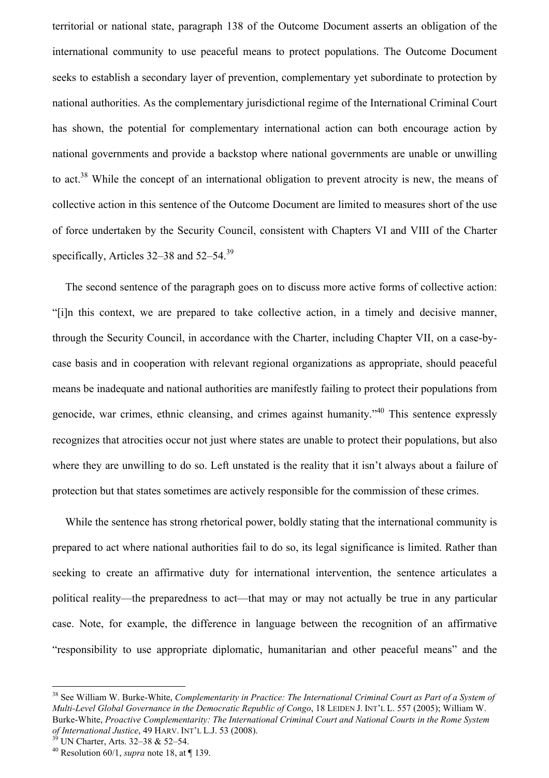territorial or national state, paragraph 138 of the Outcome Document asserts an obligation of the international community to use peaceful means to protect populations. The Outcome Document seeks to establish a secondary layer of prevention, complementary yet subordinate to protection by national authorities. As the complementary jurisdictional regime of the International Criminal Court has shown, the potential for complementary international action can both encourage action by national governments and provide a backstop where national governments are unable or unwilling to act.<sup>38</sup> While the concept of an international obligation to prevent atrocity is new, the means of collective action in this sentence of the Outcome Document are limited to measures short of the use of force undertaken by the Security Council, consistent with Chapters VI and VIII of the Charter specifically, Articles 32–38 and 52–54.<sup>39</sup>

The second sentence of the paragraph goes on to discuss more active forms of collective action: "[i]n this context, we are prepared to take collective action, in a timely and decisive manner, through the Security Council, in accordance with the Charter, including Chapter VII, on a case-bycase basis and in cooperation with relevant regional organizations as appropriate, should peaceful means be inadequate and national authorities are manifestly failing to protect their populations from genocide, war crimes, ethnic cleansing, and crimes against humanity."40 This sentence expressly recognizes that atrocities occur not just where states are unable to protect their populations, but also where they are unwilling to do so. Left unstated is the reality that it isn't always about a failure of protection but that states sometimes are actively responsible for the commission of these crimes.

While the sentence has strong rhetorical power, boldly stating that the international community is prepared to act where national authorities fail to do so, its legal significance is limited. Rather than seeking to create an affirmative duty for international intervention, the sentence articulates a political reality—the preparedness to act—that may or may not actually be true in any particular case. Note, for example, the difference in language between the recognition of an affirmative "responsibility to use appropriate diplomatic, humanitarian and other peaceful means" and the

 <sup>38</sup> See William W. Burke-White, *Complementarity in Practice: The International Criminal Court as Part of a System of Multi-Level Global Governance in the Democratic Republic of Congo*, 18 LEIDEN J. INT'L L. 557 (2005); William W. Burke-White, *Proactive Complementarity: The International Criminal Court and National Courts in the Rome System of International Justice*, 49 HARV. INT'L L.J. 53 (2008).

 $39^{39}$  UN Charter, Arts. 32–38 & 52–54.

<sup>40</sup> Resolution 60/1, *supra* note 18, at ¶ 139.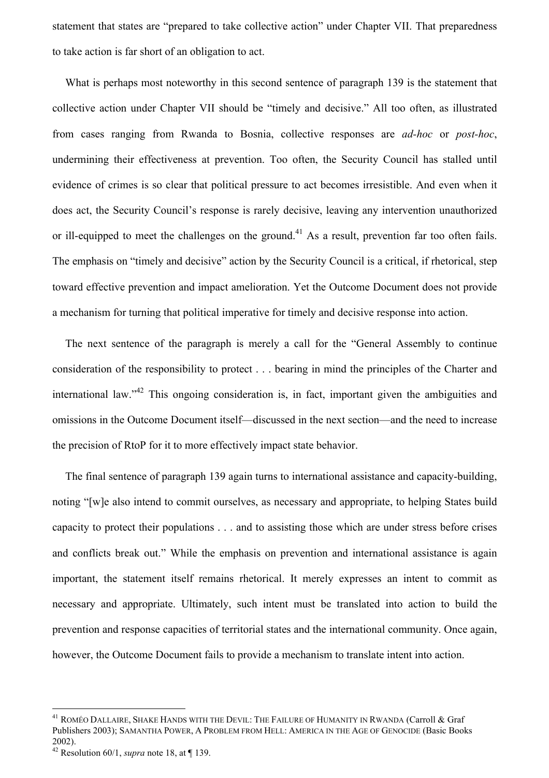statement that states are "prepared to take collective action" under Chapter VII. That preparedness to take action is far short of an obligation to act.

What is perhaps most noteworthy in this second sentence of paragraph 139 is the statement that collective action under Chapter VII should be "timely and decisive." All too often, as illustrated from cases ranging from Rwanda to Bosnia, collective responses are *ad-hoc* or *post-hoc*, undermining their effectiveness at prevention. Too often, the Security Council has stalled until evidence of crimes is so clear that political pressure to act becomes irresistible. And even when it does act, the Security Council's response is rarely decisive, leaving any intervention unauthorized or ill-equipped to meet the challenges on the ground.<sup>41</sup> As a result, prevention far too often fails. The emphasis on "timely and decisive" action by the Security Council is a critical, if rhetorical, step toward effective prevention and impact amelioration. Yet the Outcome Document does not provide a mechanism for turning that political imperative for timely and decisive response into action.

The next sentence of the paragraph is merely a call for the "General Assembly to continue consideration of the responsibility to protect . . . bearing in mind the principles of the Charter and international law."42 This ongoing consideration is, in fact, important given the ambiguities and omissions in the Outcome Document itself—discussed in the next section—and the need to increase the precision of RtoP for it to more effectively impact state behavior.

The final sentence of paragraph 139 again turns to international assistance and capacity-building, noting "[w]e also intend to commit ourselves, as necessary and appropriate, to helping States build capacity to protect their populations . . . and to assisting those which are under stress before crises and conflicts break out." While the emphasis on prevention and international assistance is again important, the statement itself remains rhetorical. It merely expresses an intent to commit as necessary and appropriate. Ultimately, such intent must be translated into action to build the prevention and response capacities of territorial states and the international community. Once again, however, the Outcome Document fails to provide a mechanism to translate intent into action.

<sup>&</sup>lt;sup>41</sup> ROMÉO DALLAIRE, SHAKE HANDS WITH THE DEVIL: THE FAILURE OF HUMANITY IN RWANDA (Carroll & Graf Publishers 2003); SAMANTHA POWER, A PROBLEM FROM HELL: AMERICA IN THE AGE OF GENOCIDE (Basic Books 2002).

<sup>42</sup> Resolution 60/1, *supra* note 18, at ¶ 139.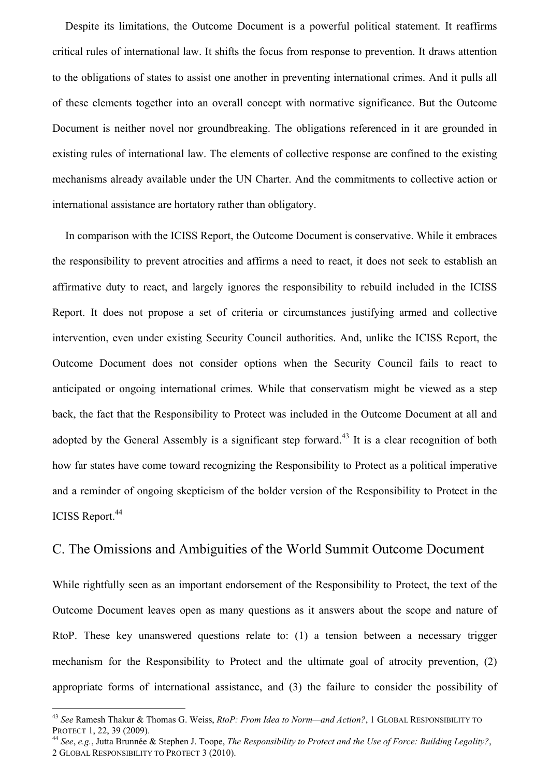Despite its limitations, the Outcome Document is a powerful political statement. It reaffirms critical rules of international law. It shifts the focus from response to prevention. It draws attention to the obligations of states to assist one another in preventing international crimes. And it pulls all of these elements together into an overall concept with normative significance. But the Outcome Document is neither novel nor groundbreaking. The obligations referenced in it are grounded in existing rules of international law. The elements of collective response are confined to the existing mechanisms already available under the UN Charter. And the commitments to collective action or international assistance are hortatory rather than obligatory.

In comparison with the ICISS Report, the Outcome Document is conservative. While it embraces the responsibility to prevent atrocities and affirms a need to react, it does not seek to establish an affirmative duty to react, and largely ignores the responsibility to rebuild included in the ICISS Report. It does not propose a set of criteria or circumstances justifying armed and collective intervention, even under existing Security Council authorities. And, unlike the ICISS Report, the Outcome Document does not consider options when the Security Council fails to react to anticipated or ongoing international crimes. While that conservatism might be viewed as a step back, the fact that the Responsibility to Protect was included in the Outcome Document at all and adopted by the General Assembly is a significant step forward.<sup>43</sup> It is a clear recognition of both how far states have come toward recognizing the Responsibility to Protect as a political imperative and a reminder of ongoing skepticism of the bolder version of the Responsibility to Protect in the ICISS Report.<sup>44</sup>

### C. The Omissions and Ambiguities of the World Summit Outcome Document

While rightfully seen as an important endorsement of the Responsibility to Protect, the text of the Outcome Document leaves open as many questions as it answers about the scope and nature of RtoP. These key unanswered questions relate to: (1) a tension between a necessary trigger mechanism for the Responsibility to Protect and the ultimate goal of atrocity prevention, (2) appropriate forms of international assistance, and (3) the failure to consider the possibility of

 <sup>43</sup> *See* Ramesh Thakur & Thomas G. Weiss, *RtoP: From Idea to Norm—and Action?*, 1 GLOBAL RESPONSIBILITY TO PROTECT 1, 22, 39 (2009).

<sup>44</sup> *See*, *e.g.*, Jutta Brunnée & Stephen J. Toope, *The Responsibility to Protect and the Use of Force: Building Legality?*, 2 GLOBAL RESPONSIBILITY TO PROTECT 3 (2010).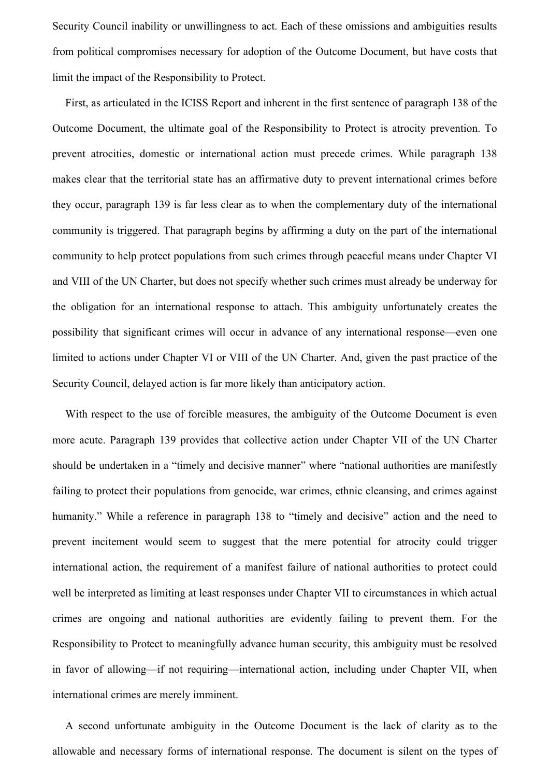Security Council inability or unwillingness to act. Each of these omissions and ambiguities results from political compromises necessary for adoption of the Outcome Document, but have costs that limit the impact of the Responsibility to Protect.

First, as articulated in the ICISS Report and inherent in the first sentence of paragraph 138 of the Outcome Document, the ultimate goal of the Responsibility to Protect is atrocity prevention. To prevent atrocities, domestic or international action must precede crimes. While paragraph 138 makes clear that the territorial state has an affirmative duty to prevent international crimes before they occur, paragraph 139 is far less clear as to when the complementary duty of the international community is triggered. That paragraph begins by affirming a duty on the part of the international community to help protect populations from such crimes through peaceful means under Chapter VI and VIII of the UN Charter, but does not specify whether such crimes must already be underway for the obligation for an international response to attach. This ambiguity unfortunately creates the possibility that significant crimes will occur in advance of any international response—even one limited to actions under Chapter VI or VIII of the UN Charter. And, given the past practice of the Security Council, delayed action is far more likely than anticipatory action.

With respect to the use of forcible measures, the ambiguity of the Outcome Document is even more acute. Paragraph 139 provides that collective action under Chapter VII of the UN Charter should be undertaken in a "timely and decisive manner" where "national authorities are manifestly failing to protect their populations from genocide, war crimes, ethnic cleansing, and crimes against humanity." While a reference in paragraph 138 to "timely and decisive" action and the need to prevent incitement would seem to suggest that the mere potential for atrocity could trigger international action, the requirement of a manifest failure of national authorities to protect could well be interpreted as limiting at least responses under Chapter VII to circumstances in which actual crimes are ongoing and national authorities are evidently failing to prevent them. For the Responsibility to Protect to meaningfully advance human security, this ambiguity must be resolved in favor of allowing—if not requiring—international action, including under Chapter VII, when international crimes are merely imminent.

A second unfortunate ambiguity in the Outcome Document is the lack of clarity as to the allowable and necessary forms of international response. The document is silent on the types of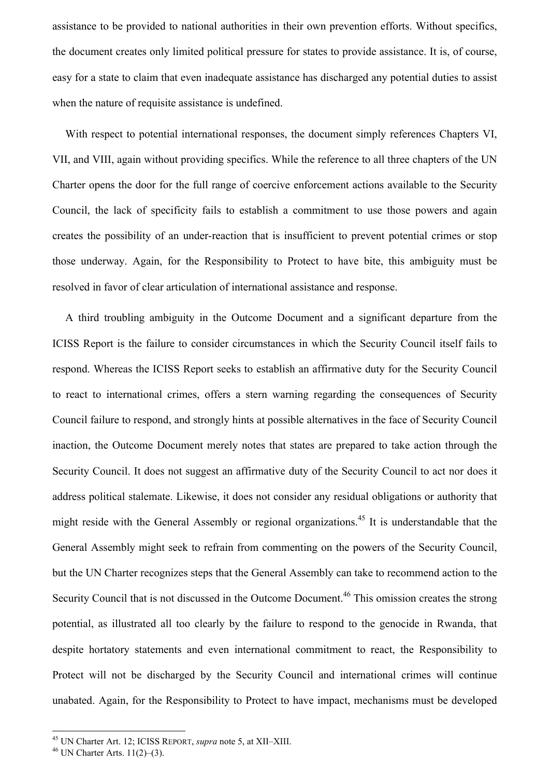assistance to be provided to national authorities in their own prevention efforts. Without specifics, the document creates only limited political pressure for states to provide assistance. It is, of course, easy for a state to claim that even inadequate assistance has discharged any potential duties to assist when the nature of requisite assistance is undefined.

With respect to potential international responses, the document simply references Chapters VI, VII, and VIII, again without providing specifics. While the reference to all three chapters of the UN Charter opens the door for the full range of coercive enforcement actions available to the Security Council, the lack of specificity fails to establish a commitment to use those powers and again creates the possibility of an under-reaction that is insufficient to prevent potential crimes or stop those underway. Again, for the Responsibility to Protect to have bite, this ambiguity must be resolved in favor of clear articulation of international assistance and response.

A third troubling ambiguity in the Outcome Document and a significant departure from the ICISS Report is the failure to consider circumstances in which the Security Council itself fails to respond. Whereas the ICISS Report seeks to establish an affirmative duty for the Security Council to react to international crimes, offers a stern warning regarding the consequences of Security Council failure to respond, and strongly hints at possible alternatives in the face of Security Council inaction, the Outcome Document merely notes that states are prepared to take action through the Security Council. It does not suggest an affirmative duty of the Security Council to act nor does it address political stalemate. Likewise, it does not consider any residual obligations or authority that might reside with the General Assembly or regional organizations.<sup>45</sup> It is understandable that the General Assembly might seek to refrain from commenting on the powers of the Security Council, but the UN Charter recognizes steps that the General Assembly can take to recommend action to the Security Council that is not discussed in the Outcome Document.<sup>46</sup> This omission creates the strong potential, as illustrated all too clearly by the failure to respond to the genocide in Rwanda, that despite hortatory statements and even international commitment to react, the Responsibility to Protect will not be discharged by the Security Council and international crimes will continue unabated. Again, for the Responsibility to Protect to have impact, mechanisms must be developed

 <sup>45</sup> UN Charter Art. 12; ICISS REPORT, *supra* note 5, at XII–XIII.

 $46$  UN Charter Arts. 11(2)–(3).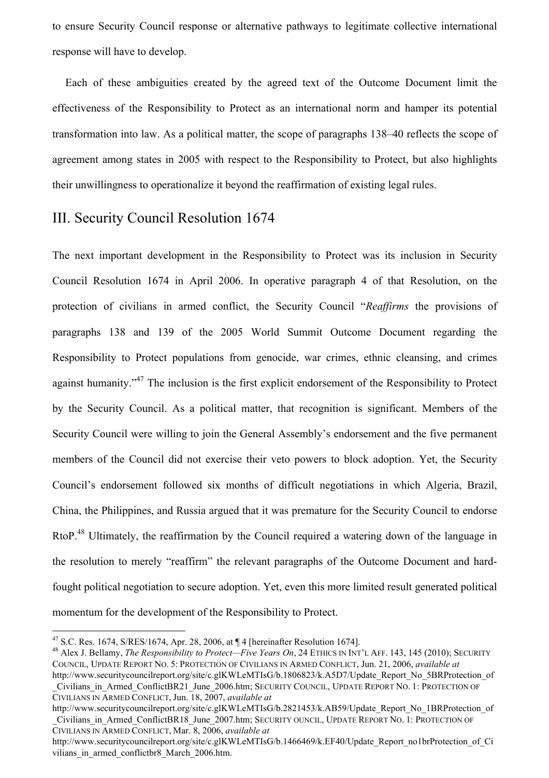to ensure Security Council response or alternative pathways to legitimate collective international response will have to develop.

Each of these ambiguities created by the agreed text of the Outcome Document limit the effectiveness of the Responsibility to Protect as an international norm and hamper its potential transformation into law. As a political matter, the scope of paragraphs 138–40 reflects the scope of agreement among states in 2005 with respect to the Responsibility to Protect, but also highlights their unwillingness to operationalize it beyond the reaffirmation of existing legal rules.

## III. Security Council Resolution 1674

The next important development in the Responsibility to Protect was its inclusion in Security Council Resolution 1674 in April 2006. In operative paragraph 4 of that Resolution, on the protection of civilians in armed conflict, the Security Council "*Reaffirms* the provisions of paragraphs 138 and 139 of the 2005 World Summit Outcome Document regarding the Responsibility to Protect populations from genocide, war crimes, ethnic cleansing, and crimes against humanity."47 The inclusion is the first explicit endorsement of the Responsibility to Protect by the Security Council. As a political matter, that recognition is significant. Members of the Security Council were willing to join the General Assembly's endorsement and the five permanent members of the Council did not exercise their veto powers to block adoption. Yet, the Security Council's endorsement followed six months of difficult negotiations in which Algeria, Brazil, China, the Philippines, and Russia argued that it was premature for the Security Council to endorse RtoP<sup>.48</sup> Ultimately, the reaffirmation by the Council required a watering down of the language in the resolution to merely "reaffirm" the relevant paragraphs of the Outcome Document and hardfought political negotiation to secure adoption. Yet, even this more limited result generated political momentum for the development of the Responsibility to Protect.

CIVILIANS IN ARMED CONFLICT, Jun. 18, 2007, *available at*

<sup>&</sup>lt;sup>47</sup> S.C. Res. 1674, S/RES/1674, Apr. 28, 2006, at  $\P$  4 [hereinafter Resolution 1674].

<sup>48</sup> Alex J. Bellamy, *The Responsibility to Protect—Five Years On*, 24 ETHICS IN INT'L AFF. 143, 145 (2010); SECURITY COUNCIL, UPDATE REPORT NO. 5: PROTECTION OF CIVILIANS IN ARMED CONFLICT, Jun. 21, 2006, *available at* http://www.securitycouncilreport.org/site/c.glKWLeMTIsG/b.1806823/k.A5D7/Update\_Report\_No\_5BRProtection\_of \_Civilians\_in\_Armed\_ConflictBR21\_June\_2006.htm; SECURITY COUNCIL, UPDATE REPORT NO. 1: PROTECTION OF

http://www.securitycouncilreport.org/site/c.glKWLeMTIsG/b.2821453/k.AB59/Update\_Report\_No\_1BRProtection\_of \_Civilians\_in\_Armed\_ConflictBR18\_June\_2007.htm; SECURITY OUNCIL, UPDATE REPORT NO. 1: PROTECTION OF CIVILIANS IN ARMED CONFLICT, Mar. 8, 2006, *available at*

http://www.securitycouncilreport.org/site/c.glKWLeMTIsG/b.1466469/k.EF40/Update\_Report\_no1brProtection\_of\_Ci vilians in armed conflictbr8 March 2006.htm.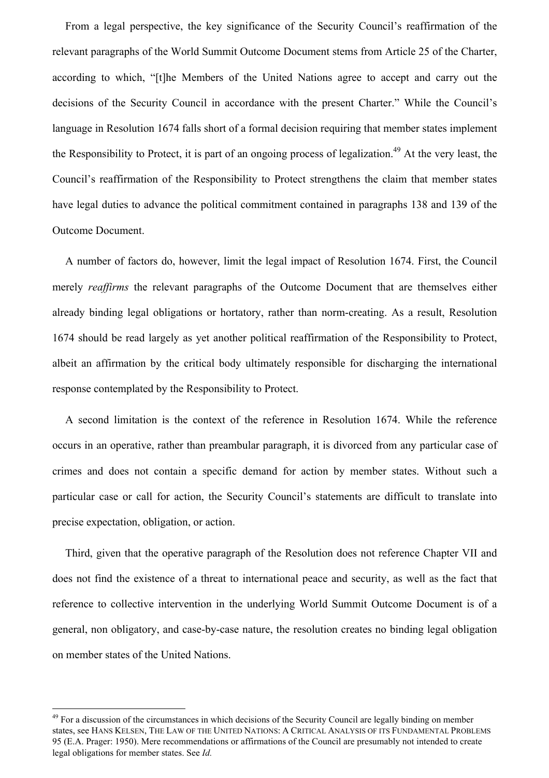From a legal perspective, the key significance of the Security Council's reaffirmation of the relevant paragraphs of the World Summit Outcome Document stems from Article 25 of the Charter, according to which. "Itlhe Members of the United Nations agree to accept and carry out the decisions of the Security Council in accordance with the present Charter." While the Council's language in Resolution 1674 falls short of a formal decision requiring that member states implement the Responsibility to Protect, it is part of an ongoing process of legalization.<sup>49</sup> At the very least, the Council's reaffirmation of the Responsibility to Protect strengthens the claim that member states have legal duties to advance the political commitment contained in paragraphs 138 and 139 of the Outcome Document.

A number of factors do, however, limit the legal impact of Resolution 1674. First, the Council merely *reaffirms* the relevant paragraphs of the Outcome Document that are themselves either already binding legal obligations or hortatory, rather than norm-creating. As a result, Resolution 1674 should be read largely as yet another political reaffirmation of the Responsibility to Protect, albeit an affirmation by the critical body ultimately responsible for discharging the international response contemplated by the Responsibility to Protect.

A second limitation is the context of the reference in Resolution 1674. While the reference occurs in an operative, rather than preambular paragraph, it is divorced from any particular case of crimes and does not contain a specific demand for action by member states. Without such a particular case or call for action, the Security Council's statements are difficult to translate into precise expectation, obligation, or action.

Third, given that the operative paragraph of the Resolution does not reference Chapter VII and does not find the existence of a threat to international peace and security, as well as the fact that reference to collective intervention in the underlying World Summit Outcome Document is of a general, non obligatory, and case-by-case nature, the resolution creates no binding legal obligation on member states of the United Nations.

<sup>&</sup>lt;sup>49</sup> For a discussion of the circumstances in which decisions of the Security Council are legally binding on member states, see HANS KELSEN, THE LAW OF THE UNITED NATIONS: A CRITICAL ANALYSIS OF ITS FUNDAMENTAL PROBLEMS 95 (E.A. Prager: 1950). Mere recommendations or affirmations of the Council are presumably not intended to create legal obligations for member states. See *Id.*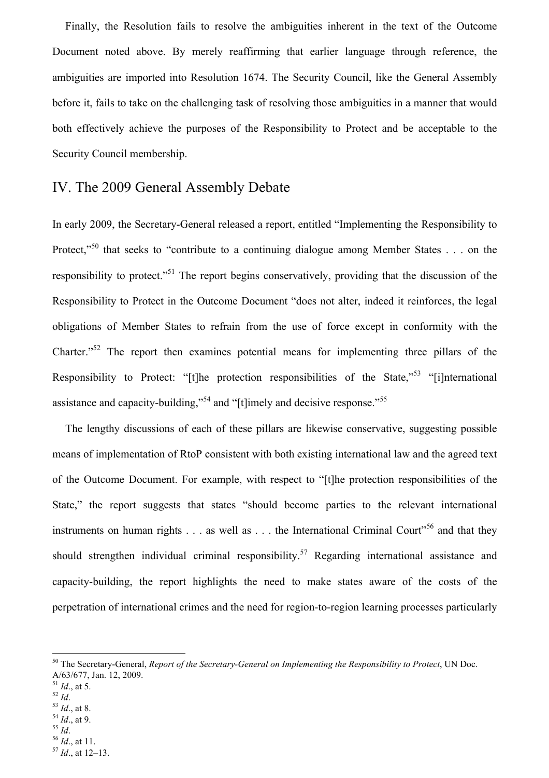Finally, the Resolution fails to resolve the ambiguities inherent in the text of the Outcome Document noted above. By merely reaffirming that earlier language through reference, the ambiguities are imported into Resolution 1674. The Security Council, like the General Assembly before it, fails to take on the challenging task of resolving those ambiguities in a manner that would both effectively achieve the purposes of the Responsibility to Protect and be acceptable to the Security Council membership.

## IV. The 2009 General Assembly Debate

In early 2009, the Secretary-General released a report, entitled "Implementing the Responsibility to Protect,"<sup>50</sup> that seeks to "contribute to a continuing dialogue among Member States  $\ldots$  on the responsibility to protect."<sup>51</sup> The report begins conservatively, providing that the discussion of the Responsibility to Protect in the Outcome Document "does not alter, indeed it reinforces, the legal obligations of Member States to refrain from the use of force except in conformity with the Charter."52 The report then examines potential means for implementing three pillars of the Responsibility to Protect: "[t]he protection responsibilities of the State,"<sup>53</sup> "[i]nternational assistance and capacity-building,"54 and "[t]imely and decisive response."55

The lengthy discussions of each of these pillars are likewise conservative, suggesting possible means of implementation of RtoP consistent with both existing international law and the agreed text of the Outcome Document. For example, with respect to "[t]he protection responsibilities of the State," the report suggests that states "should become parties to the relevant international instruments on human rights  $\ldots$  as well as  $\ldots$  the International Criminal Court<sup> $1.56$ </sup> and that they should strengthen individual criminal responsibility.<sup>57</sup> Regarding international assistance and capacity-building, the report highlights the need to make states aware of the costs of the perpetration of international crimes and the need for region-to-region learning processes particularly

- <sup>51</sup> *Id*., at 5.
- <sup>52</sup> *Id*.
- $^{53}$  *Id.*, at 8.

<sup>55</sup> *Id*.

 <sup>50</sup> The Secretary-General, *Report of the Secretary-General on Implementing the Responsibility to Protect*, UN Doc. A/63/677, Jan. 12, 2009.

 $54$   $\overline{Id}$ ., at 9.

<sup>56</sup> *Id*., at 11.

<sup>57</sup> *Id*., at 12–13.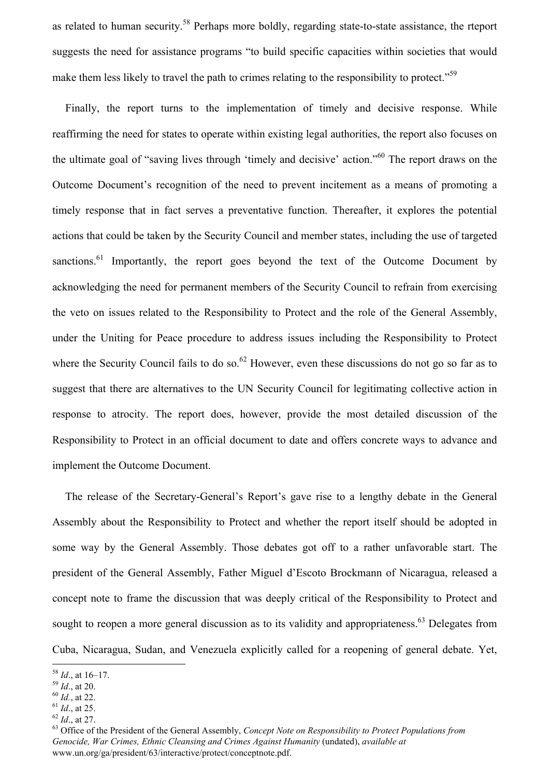as related to human security.<sup>58</sup> Perhaps more boldly, regarding state-to-state assistance, the rteport suggests the need for assistance programs "to build specific capacities within societies that would make them less likely to travel the path to crimes relating to the responsibility to protect."<sup>59</sup>

Finally, the report turns to the implementation of timely and decisive response. While reaffirming the need for states to operate within existing legal authorities, the report also focuses on the ultimate goal of "saving lives through 'timely and decisive' action."60 The report draws on the Outcome Document's recognition of the need to prevent incitement as a means of promoting a timely response that in fact serves a preventative function. Thereafter, it explores the potential actions that could be taken by the Security Council and member states, including the use of targeted sanctions. $61$  Importantly, the report goes beyond the text of the Outcome Document by acknowledging the need for permanent members of the Security Council to refrain from exercising the veto on issues related to the Responsibility to Protect and the role of the General Assembly, under the Uniting for Peace procedure to address issues including the Responsibility to Protect where the Security Council fails to do so.<sup>62</sup> However, even these discussions do not go so far as to suggest that there are alternatives to the UN Security Council for legitimating collective action in response to atrocity. The report does, however, provide the most detailed discussion of the Responsibility to Protect in an official document to date and offers concrete ways to advance and implement the Outcome Document.

The release of the Secretary-General's Report's gave rise to a lengthy debate in the General Assembly about the Responsibility to Protect and whether the report itself should be adopted in some way by the General Assembly. Those debates got off to a rather unfavorable start. The president of the General Assembly, Father Miguel d'Escoto Brockmann of Nicaragua, released a concept note to frame the discussion that was deeply critical of the Responsibility to Protect and sought to reopen a more general discussion as to its validity and appropriateness.<sup>63</sup> Delegates from Cuba, Nicaragua, Sudan, and Venezuela explicitly called for a reopening of general debate. Yet,

 $^{61}$  *Id.*, at 25.

 <sup>58</sup> *Id*., at 16–17.

<sup>59</sup> *Id*., at 20.

<sup>60</sup> *Id.*, at 22.

<sup>62</sup> *Id*., at 27.

<sup>63</sup> Office of the President of the General Assembly, *Concept Note on Responsibility to Protect Populations from Genocide, War Crimes, Ethnic Cleansing and Crimes Against Humanity* (undated), *available at* www.un.org/ga/president/63/interactive/protect/conceptnote.pdf.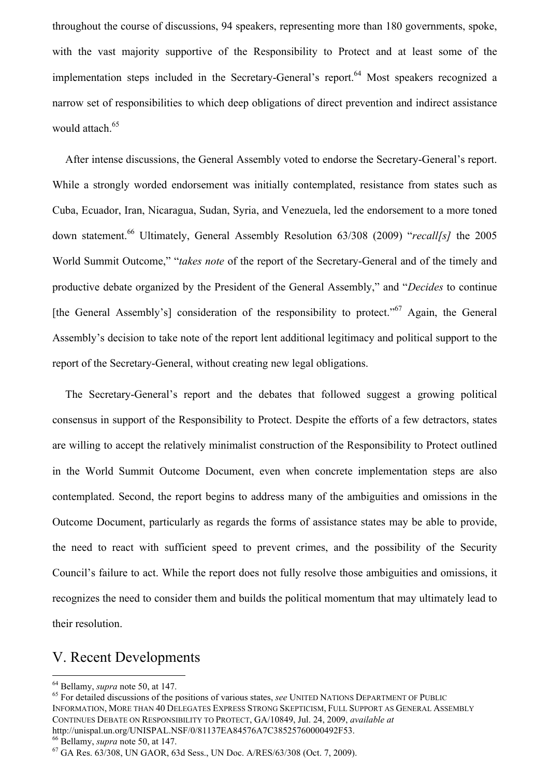throughout the course of discussions, 94 speakers, representing more than 180 governments, spoke, with the vast majority supportive of the Responsibility to Protect and at least some of the implementation steps included in the Secretary-General's report.<sup>64</sup> Most speakers recognized a narrow set of responsibilities to which deep obligations of direct prevention and indirect assistance would attach <sup>65</sup>

After intense discussions, the General Assembly voted to endorse the Secretary-General's report. While a strongly worded endorsement was initially contemplated, resistance from states such as Cuba, Ecuador, Iran, Nicaragua, Sudan, Syria, and Venezuela, led the endorsement to a more toned down statement.66 Ultimately, General Assembly Resolution 63/308 (2009) "*recall[s]* the 2005 World Summit Outcome," "*takes note* of the report of the Secretary-General and of the timely and productive debate organized by the President of the General Assembly," and "*Decides* to continue [the General Assembly's] consideration of the responsibility to protect."<sup>67</sup> Again, the General Assembly's decision to take note of the report lent additional legitimacy and political support to the report of the Secretary-General, without creating new legal obligations.

The Secretary-General's report and the debates that followed suggest a growing political consensus in support of the Responsibility to Protect. Despite the efforts of a few detractors, states are willing to accept the relatively minimalist construction of the Responsibility to Protect outlined in the World Summit Outcome Document, even when concrete implementation steps are also contemplated. Second, the report begins to address many of the ambiguities and omissions in the Outcome Document, particularly as regards the forms of assistance states may be able to provide, the need to react with sufficient speed to prevent crimes, and the possibility of the Security Council's failure to act. While the report does not fully resolve those ambiguities and omissions, it recognizes the need to consider them and builds the political momentum that may ultimately lead to their resolution.

## V. Recent Developments

 <sup>64</sup> Bellamy, *supra* note 50, at 147.

<sup>65</sup> For detailed discussions of the positions of various states, *see* UNITED NATIONS DEPARTMENT OF PUBLIC INFORMATION, MORE THAN 40 DELEGATES EXPRESS STRONG SKEPTICISM, FULL SUPPORT AS GENERAL ASSEMBLY CONTINUES DEBATE ON RESPONSIBILITY TO PROTECT, GA/10849, Jul. 24, 2009, *available at* http://unispal.un.org/UNISPAL.NSF/0/81137EA84576A7C38525760000492F53.

<sup>66</sup> Bellamy, *supra* note 50, at 147.

<sup>67</sup> GA Res. 63/308, UN GAOR, 63d Sess., UN Doc. A/RES/63/308 (Oct. 7, 2009).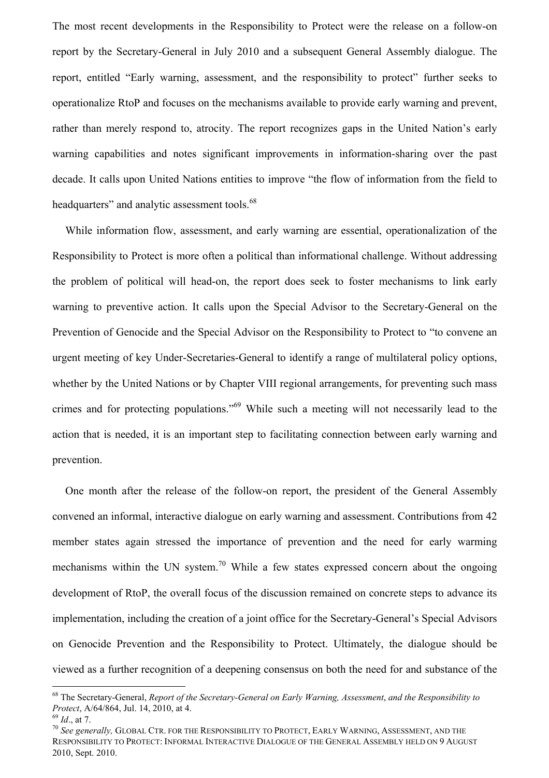The most recent developments in the Responsibility to Protect were the release on a follow-on report by the Secretary-General in July 2010 and a subsequent General Assembly dialogue. The report, entitled "Early warning, assessment, and the responsibility to protect" further seeks to operationalize RtoP and focuses on the mechanisms available to provide early warning and prevent, rather than merely respond to, atrocity. The report recognizes gaps in the United Nation's early warning capabilities and notes significant improvements in information-sharing over the past decade. It calls upon United Nations entities to improve "the flow of information from the field to headquarters" and analytic assessment tools.<sup>68</sup>

While information flow, assessment, and early warning are essential, operationalization of the Responsibility to Protect is more often a political than informational challenge. Without addressing the problem of political will head-on, the report does seek to foster mechanisms to link early warning to preventive action. It calls upon the Special Advisor to the Secretary-General on the Prevention of Genocide and the Special Advisor on the Responsibility to Protect to "to convene an urgent meeting of key Under-Secretaries-General to identify a range of multilateral policy options, whether by the United Nations or by Chapter VIII regional arrangements, for preventing such mass crimes and for protecting populations."<sup>69</sup> While such a meeting will not necessarily lead to the action that is needed, it is an important step to facilitating connection between early warning and prevention.

One month after the release of the follow-on report, the president of the General Assembly convened an informal, interactive dialogue on early warning and assessment. Contributions from 42 member states again stressed the importance of prevention and the need for early warming mechanisms within the UN system.<sup>70</sup> While a few states expressed concern about the ongoing development of RtoP, the overall focus of the discussion remained on concrete steps to advance its implementation, including the creation of a joint office for the Secretary-General's Special Advisors on Genocide Prevention and the Responsibility to Protect. Ultimately, the dialogue should be viewed as a further recognition of a deepening consensus on both the need for and substance of the

 <sup>68</sup> The Secretary-General, *Report of the Secretary-General on Early Warning, Assessment*, *and the Responsibility to Protect*, A/64/864, Jul. 14, 2010, at 4.

<sup>69</sup> *Id*., at 7.

<sup>70</sup> *See generally,* GLOBAL CTR. FOR THE RESPONSIBILITY TO PROTECT, EARLY WARNING, ASSESSMENT, AND THE RESPONSIBILITY TO PROTECT: INFORMAL INTERACTIVE DIALOGUE OF THE GENERAL ASSEMBLY HELD ON 9 AUGUST 2010, Sept. 2010.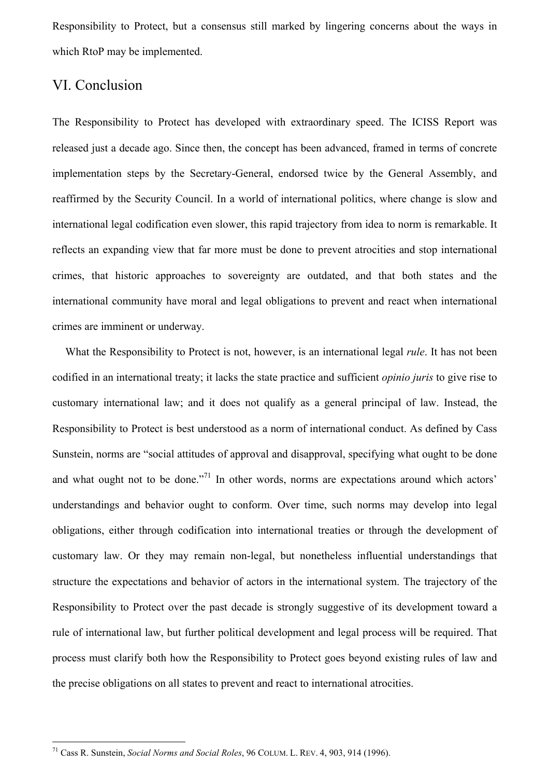Responsibility to Protect, but a consensus still marked by lingering concerns about the ways in which RtoP may be implemented.

## VI. Conclusion

The Responsibility to Protect has developed with extraordinary speed. The ICISS Report was released just a decade ago. Since then, the concept has been advanced, framed in terms of concrete implementation steps by the Secretary-General, endorsed twice by the General Assembly, and reaffirmed by the Security Council. In a world of international politics, where change is slow and international legal codification even slower, this rapid trajectory from idea to norm is remarkable. It reflects an expanding view that far more must be done to prevent atrocities and stop international crimes, that historic approaches to sovereignty are outdated, and that both states and the international community have moral and legal obligations to prevent and react when international crimes are imminent or underway.

What the Responsibility to Protect is not, however, is an international legal *rule*. It has not been codified in an international treaty; it lacks the state practice and sufficient *opinio juris* to give rise to customary international law; and it does not qualify as a general principal of law. Instead, the Responsibility to Protect is best understood as a norm of international conduct. As defined by Cass Sunstein, norms are "social attitudes of approval and disapproval, specifying what ought to be done and what ought not to be done."<sup>71</sup> In other words, norms are expectations around which actors' understandings and behavior ought to conform. Over time, such norms may develop into legal obligations, either through codification into international treaties or through the development of customary law. Or they may remain non-legal, but nonetheless influential understandings that structure the expectations and behavior of actors in the international system. The trajectory of the Responsibility to Protect over the past decade is strongly suggestive of its development toward a rule of international law, but further political development and legal process will be required. That process must clarify both how the Responsibility to Protect goes beyond existing rules of law and the precise obligations on all states to prevent and react to international atrocities.

 <sup>71</sup> Cass R. Sunstein, *Social Norms and Social Roles*, 96 COLUM. L. REV. 4, 903, 914 (1996).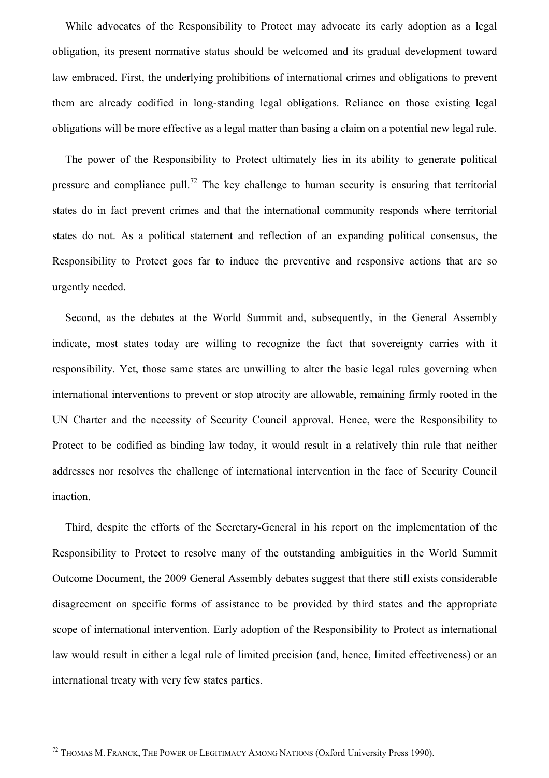While advocates of the Responsibility to Protect may advocate its early adoption as a legal obligation, its present normative status should be welcomed and its gradual development toward law embraced. First, the underlying prohibitions of international crimes and obligations to prevent them are already codified in long-standing legal obligations. Reliance on those existing legal obligations will be more effective as a legal matter than basing a claim on a potential new legal rule.

The power of the Responsibility to Protect ultimately lies in its ability to generate political pressure and compliance pull.<sup>72</sup> The key challenge to human security is ensuring that territorial states do in fact prevent crimes and that the international community responds where territorial states do not. As a political statement and reflection of an expanding political consensus, the Responsibility to Protect goes far to induce the preventive and responsive actions that are so urgently needed.

Second, as the debates at the World Summit and, subsequently, in the General Assembly indicate, most states today are willing to recognize the fact that sovereignty carries with it responsibility. Yet, those same states are unwilling to alter the basic legal rules governing when international interventions to prevent or stop atrocity are allowable, remaining firmly rooted in the UN Charter and the necessity of Security Council approval. Hence, were the Responsibility to Protect to be codified as binding law today, it would result in a relatively thin rule that neither addresses nor resolves the challenge of international intervention in the face of Security Council inaction.

Third, despite the efforts of the Secretary-General in his report on the implementation of the Responsibility to Protect to resolve many of the outstanding ambiguities in the World Summit Outcome Document, the 2009 General Assembly debates suggest that there still exists considerable disagreement on specific forms of assistance to be provided by third states and the appropriate scope of international intervention. Early adoption of the Responsibility to Protect as international law would result in either a legal rule of limited precision (and, hence, limited effectiveness) or an international treaty with very few states parties.

 <sup>72</sup> THOMAS M. FRANCK, THE POWER OF LEGITIMACY AMONG NATIONS (Oxford University Press 1990).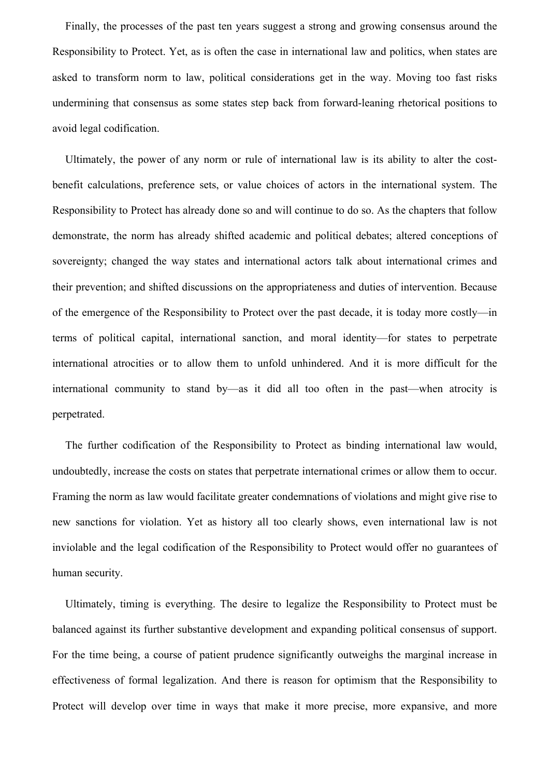Finally, the processes of the past ten years suggest a strong and growing consensus around the Responsibility to Protect. Yet, as is often the case in international law and politics, when states are asked to transform norm to law, political considerations get in the way. Moving too fast risks undermining that consensus as some states step back from forward-leaning rhetorical positions to avoid legal codification.

Ultimately, the power of any norm or rule of international law is its ability to alter the costbenefit calculations, preference sets, or value choices of actors in the international system. The Responsibility to Protect has already done so and will continue to do so. As the chapters that follow demonstrate, the norm has already shifted academic and political debates; altered conceptions of sovereignty; changed the way states and international actors talk about international crimes and their prevention; and shifted discussions on the appropriateness and duties of intervention. Because of the emergence of the Responsibility to Protect over the past decade, it is today more costly—in terms of political capital, international sanction, and moral identity—for states to perpetrate international atrocities or to allow them to unfold unhindered. And it is more difficult for the international community to stand by—as it did all too often in the past—when atrocity is perpetrated.

The further codification of the Responsibility to Protect as binding international law would, undoubtedly, increase the costs on states that perpetrate international crimes or allow them to occur. Framing the norm as law would facilitate greater condemnations of violations and might give rise to new sanctions for violation. Yet as history all too clearly shows, even international law is not inviolable and the legal codification of the Responsibility to Protect would offer no guarantees of human security.

Ultimately, timing is everything. The desire to legalize the Responsibility to Protect must be balanced against its further substantive development and expanding political consensus of support. For the time being, a course of patient prudence significantly outweighs the marginal increase in effectiveness of formal legalization. And there is reason for optimism that the Responsibility to Protect will develop over time in ways that make it more precise, more expansive, and more